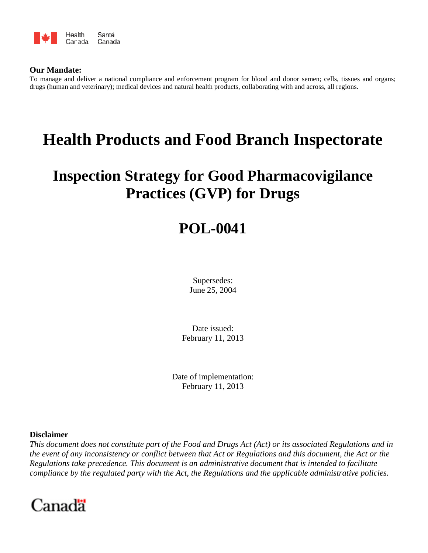

## **Our Mandate:**

To manage and deliver a national compliance and enforcement program for blood and donor semen; cells, tissues and organs; drugs (human and veterinary); medical devices and natural health products, collaborating with and across, all regions.

# **Health Products and Food Branch Inspectorate**

## **Inspection Strategy for Good Pharmacovigilance Practices (GVP) for Drugs**

## **POL-0041**

Supersedes: June 25, 2004

Date issued: February 11, 2013

Date of implementation: February 11, 2013

## **Disclaimer**

*This document does not constitute part of the Food and Drugs Act (Act) or its associated Regulations and in the event of any inconsistency or conflict between that Act or Regulations and this document, the Act or the Regulations take precedence. This document is an administrative document that is intended to facilitate compliance by the regulated party with the Act, the Regulations and the applicable administrative policies.* 

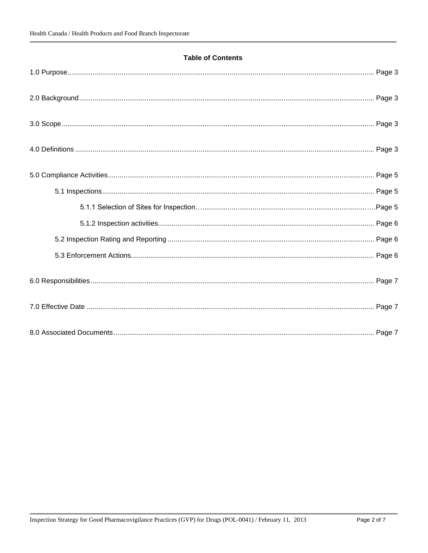## **Table of Contents**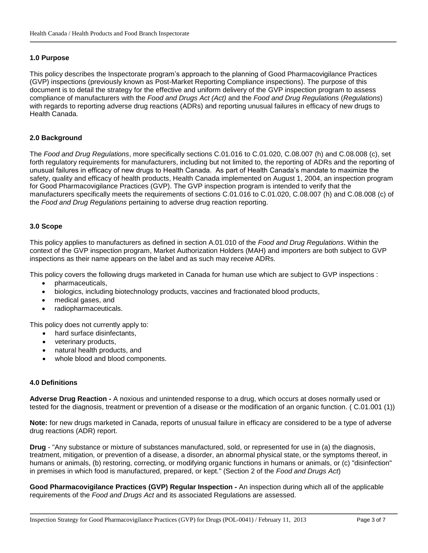## <span id="page-2-0"></span>**1.0 Purpose**

This policy describes the Inspectorate program's approach to the planning of Good Pharmacovigilance Practices (GVP) inspections (previously known as Post-Market Reporting Compliance inspections). The purpose of this document is to detail the strategy for the effective and uniform delivery of the GVP inspection program to assess compliance of manufacturers with the *Food and Drugs Act (Act)* and the *Food and Drug Regulations* (*Regulations*) with regards to reporting adverse drug reactions (ADRs) and reporting unusual failures in efficacy of new drugs to Health Canada.

### <span id="page-2-1"></span>**2.0 Background**

The *Food and Drug Regulations*, more specifically sections C.01.016 to C.01.020, C.08.007 (h) and C.08.008 (c), set forth regulatory requirements for manufacturers, including but not limited to, the reporting of ADRs and the reporting of unusual failures in efficacy of new drugs to Health Canada. As part of Health Canada's mandate to maximize the safety, quality and efficacy of health products, Health Canada implemented on August 1, 2004, an inspection program for Good Pharmacovigilance Practices (GVP). The GVP inspection program is intended to verify that the manufacturers specifically meets the requirements of sections C.01.016 to C.01.020, C.08.007 (h) and C.08.008 (c) of the *Food and Drug Regulations* pertaining to adverse drug reaction reporting.

#### <span id="page-2-2"></span>**3.0 Scope**

This policy applies to manufacturers as defined in section A.01.010 of the *Food and Drug Regulations*. Within the context of the GVP inspection program, Market Authorization Holders (MAH) and importers are both subject to GVP inspections as their name appears on the label and as such may receive ADRs.

This policy covers the following drugs marketed in Canada for human use which are subject to GVP inspections :

- pharmaceuticals,
- biologics, including biotechnology products, vaccines and fractionated blood products,
- medical gases, and
- radiopharmaceuticals.

This policy does not currently apply to:

- hard surface disinfectants,
- veterinary products,
- natural health products, and
- whole blood and blood components.

#### <span id="page-2-3"></span>**4.0 Definitions**

**Adverse Drug Reaction -** A noxious and unintended response to a drug, which occurs at doses normally used or tested for the diagnosis, treatment or prevention of a disease or the modification of an organic function. ( C.01.001 (1))

**Note:** for new drugs marketed in Canada, reports of unusual failure in efficacy are considered to be a type of adverse drug reactions (ADR) report.

**Drug** - "Any substance or mixture of substances manufactured, sold, or represented for use in (a) the diagnosis, treatment, mitigation, or prevention of a disease, a disorder, an abnormal physical state, or the symptoms thereof, in humans or animals, (b) restoring, correcting, or modifying organic functions in humans or animals, or (c) "disinfection" in premises in which food is manufactured, prepared, or kept." (Section 2 of the *Food and Drugs Act*)

**Good Pharmacovigilance Practices (GVP) Regular Inspection -** An inspection during which all of the applicable requirements of the *Food and Drugs Act* and its associated Regulations are assessed.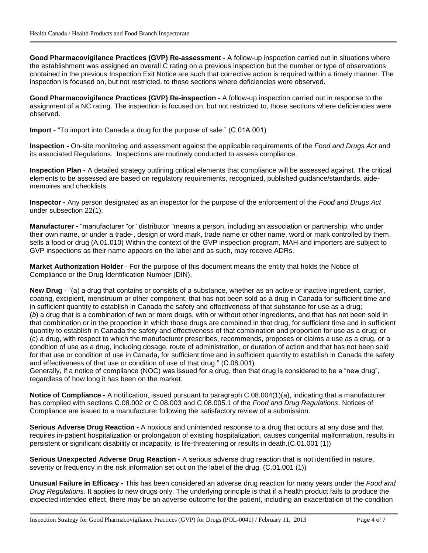**Good Pharmacovigilance Practices (GVP) Re-assessment -** A follow-up inspection carried out in situations where the establishment was assigned an overall C rating on a previous inspection but the number or type of observations contained in the previous Inspection Exit Notice are such that corrective action is required within a timely manner. The inspection is focused on, but not restricted, to those sections where deficiencies were observed.

**Good Pharmacovigilance Practices (GVP) Re-inspection -** A follow-up inspection carried out in response to the assignment of a NC rating. The inspection is focused on, but not restricted to, those sections where deficiencies were observed.

**Import -** "To import into Canada a drug for the purpose of sale." (C.01A.001)

**Inspection -** On-site monitoring and assessment against the applicable requirements of the *Food and Drugs Act* and its associated Regulations. Inspections are routinely conducted to assess compliance.

**Inspection Plan -** A detailed strategy outlining critical elements that compliance will be assessed against. The critical elements to be assessed are based on regulatory requirements, recognized, published guidance/standards, aidememoires and checklists.

**Inspector -** Any person designated as an inspector for the purpose of the enforcement of the *Food and Drugs Act* under subsection 22(1).

**Manufacturer -** "manufacturer "or "distributor "means a person, including an association or partnership, who under their own name, or under a trade-, design or word mark, trade name or other name, word or mark controlled by them, sells a food or drug (A.01.010) Within the context of the GVP inspection program, MAH and importers are subject to GVP inspections as their name appears on the label and as such, may receive ADRs.

**Market Authorization Holder** - For the purpose of this document means the entity that holds the Notice of Compliance or the Drug Identification Number (DIN).

**New Drug** - "(a) a drug that contains or consists of a substance, whether as an active or inactive ingredient, carrier, coating, excipient, menstruum or other component, that has not been sold as a drug in Canada for sufficient time and in sufficient quantity to establish in Canada the safety and effectiveness of that substance for use as a drug; (*b*) a drug that is a combination of two or more drugs, with or without other ingredients, and that has not been sold in that combination or in the proportion in which those drugs are combined in that drug, for sufficient time and in sufficient quantity to establish in Canada the safety and effectiveness of that combination and proportion for use as a drug; or (*c*) a drug, with respect to which the manufacturer prescribes, recommends, proposes or claims a use as a drug, or a condition of use as a drug, including dosage, route of administration, or duration of action and that has not been sold for that use or condition of use in Canada, for sufficient time and in sufficient quantity to establish in Canada the safety and effectiveness of that use or condition of use of that drug." (C.08.001)

Generally, if a notice of compliance (NOC) was issued for a drug, then that drug is considered to be a "new drug", regardless of how long it has been on the market.

**Notice of Compliance -** A notification, issued pursuant to paragraph C.08.004(1)(a), indicating that a manufacturer has complied with sections C.08.002 or C.08.003 and C.08.005.1 of the *Food and Drug Regulations*. Notices of Compliance are issued to a manufacturer following the satisfactory review of a submission.

**Serious Adverse Drug Reaction -** A noxious and unintended response to a drug that occurs at any dose and that requires in-patient hospitalization or prolongation of existing hospitalization, causes congenital malformation, results in persistent or significant disability or incapacity, is life-threatening or results in death.(C.01.001 (1))

**Serious Unexpected Adverse Drug Reaction -** A serious adverse drug reaction that is not identified in nature, severity or frequency in the risk information set out on the label of the drug. (C.01.001 (1))

**Unusual Failure in Efficacy -** This has been considered an adverse drug reaction for many years under the *Food and Drug Regulations*. It applies to new drugs only. The underlying principle is that if a health product fails to produce the expected intended effect, there may be an adverse outcome for the patient, including an exacerbation of the condition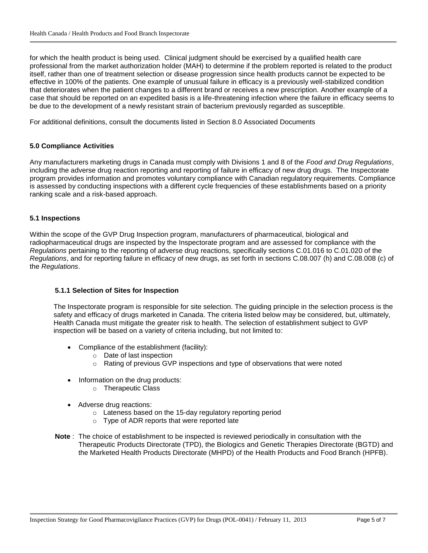for which the health product is being used. Clinical judgment should be exercised by a qualified health care professional from the market authorization holder (MAH) to determine if the problem reported is related to the product itself, rather than one of treatment selection or disease progression since health products cannot be expected to be effective in 100% of the patients. One example of unusual failure in efficacy is a previously well-stabilized condition that deteriorates when the patient changes to a different brand or receives a new prescription. Another example of a case that should be reported on an expedited basis is a life-threatening infection where the failure in efficacy seems to be due to the development of a newly resistant strain of bacterium previously regarded as susceptible.

For additional definitions, consult the documents listed in Section 8.0 Associated Documents

#### <span id="page-4-0"></span>**5.0 Compliance Activities**

Any manufacturers marketing drugs in Canada must comply with Divisions 1 and 8 of the *Food and Drug Regulations*, including the adverse drug reaction reporting and reporting of failure in efficacy of new drug drugs. The Inspectorate program provides information and promotes voluntary compliance with Canadian regulatory requirements. Compliance is assessed by conducting inspections with a different cycle frequencies of these establishments based on a priority ranking scale and a risk-based approach.

#### <span id="page-4-1"></span>**5.1 Inspections**

Within the scope of the GVP Drug Inspection program, manufacturers of pharmaceutical, biological and radiopharmaceutical drugs are inspected by the Inspectorate program and are assessed for compliance with the *Regulations* pertaining to the reporting of adverse drug reactions, specifically sections C.01.016 to C.01.020 of the *Regulations*, and for reporting failure in efficacy of new drugs, as set forth in sections C.08.007 (h) and C.08.008 (c) of the *Regulations*.

#### <span id="page-4-2"></span>**5.1.1 Selection of Sites for Inspection**

The Inspectorate program is responsible for site selection. The guiding principle in the selection process is the safety and efficacy of drugs marketed in Canada. The criteria listed below may be considered, but, ultimately, Health Canada must mitigate the greater risk to health. The selection of establishment subject to GVP inspection will be based on a variety of criteria including, but not limited to:

- Compliance of the establishment (facility):
	- o Date of last inspection
	- $\circ$  Rating of previous GVP inspections and type of observations that were noted
- Information on the drug products:
	- o Therapeutic Class
- Adverse drug reactions:
	- o Lateness based on the 15-day regulatory reporting period
	- o Type of ADR reports that were reported late
- **Note** : The choice of establishment to be inspected is reviewed periodically in consultation with the Therapeutic Products Directorate (TPD), the Biologics and Genetic Therapies Directorate (BGTD) and the Marketed Health Products Directorate (MHPD) of the Health Products and Food Branch (HPFB).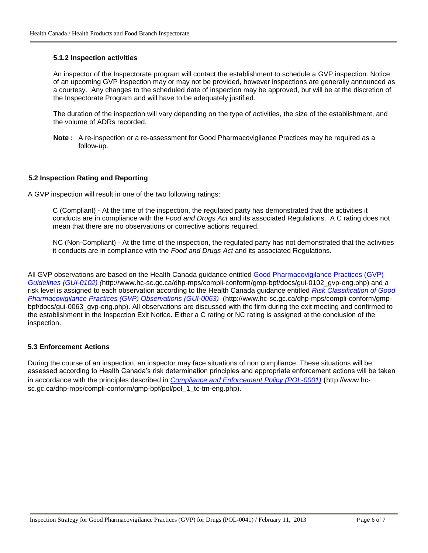#### <span id="page-5-0"></span>**5.1.2 Inspection activities**

An inspector of the Inspectorate program will contact the establishment to schedule a GVP inspection. Notice of an upcoming GVP inspection may or may not be provided, however inspections are generally announced as a courtesy. Any changes to the scheduled date of inspection may be approved, but will be at the discretion of the Inspectorate Program and will have to be adequately justified.

The duration of the inspection will vary depending on the type of activities, the size of the establishment, and the volume of ADRs recorded.

**Note :** A re-inspection or a re-assessment for Good Pharmacovigilance Practices may be required as a follow-up.

#### <span id="page-5-1"></span>**5.2 Inspection Rating and Reporting**

A GVP inspection will result in one of the two following ratings:

C (Compliant) - At the time of the inspection, the regulated party has demonstrated that the activities it conducts are in compliance with the *Food and Drugs Act* and its associated Regulations. A C rating does not mean that there are no observations or corrective actions required.

NC (Non-Compliant) - At the time of the inspection, the regulated party has not demonstrated that the activities it conducts are in compliance with the *Food and Drugs Act* and its associated Regulations.

All GVP observations are based on the Health Canada guidance entitled [Good Pharmacovigilance Practices \(GVP\)](http://www.hc-sc.gc.ca/dhp-mps/compli-conform/gmp-bpf/docs/gui-0102_gvp-eng.php) *Guidelines [\(GUI-0102\)](http://www.hc-sc.gc.ca/dhp-mps/compli-conform/gmp-bpf/docs/gui-0102_gvp-eng.php) (*http://www.hc-sc.gc.ca/dhp-mps/compli-conform/gmp-bpf/docs/gui-0102\_gvp-eng.php) and a risk level is assigned to each observation according to the Health Canada guidance entitled *[Risk Classification of Good](http://www.hc-sc.gc.ca/dhp-mps/compli-conform/gmp-bpf/docs/gui-0063_gvp-eng.php)  [Pharmacovigilance](http://www.hc-sc.gc.ca/dhp-mps/compli-conform/gmp-bpf/docs/gui-0063_gvp-eng.php) Practices (GVP) Observations (GUI-0063)* (http://www.hc-sc.gc.ca/dhp-mps/compli-conform/gmpbpf/docs/gui-0063\_gvp-eng.php). All observations are discussed with the firm during the exit meeting and confirmed to the establishment in the Inspection Exit Notice. Either a C rating or NC rating is assigned at the conclusion of the inspection.

#### <span id="page-5-2"></span>**5.3 Enforcement Actions**

<span id="page-5-3"></span>During the course of an inspection, an inspector may face situations of non compliance. These situations will be assessed according to Health Canada's risk determination principles and appropriate enforcement actions will be taken in accordance with the principles described in *[Compliance and Enforcement Policy](http://www.hc-sc.gc.ca/dhp-mps/compli-conform/gmp-bpf/pol/pol_1_tc-tm-eng.php) (POL-0001)* (http://www.hcsc.gc.ca/dhp-mps/compli-conform/gmp-bpf/pol/pol\_1\_tc-tm-eng.php).